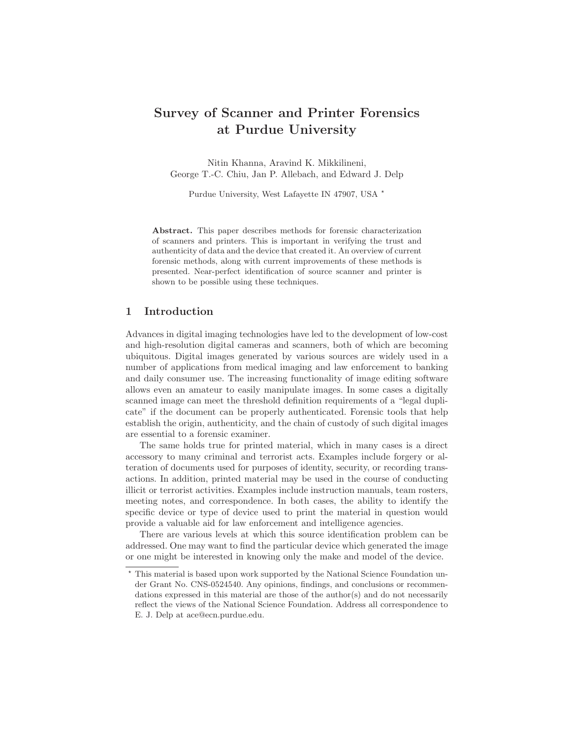# Survey of Scanner and Printer Forensics at Purdue University

Nitin Khanna, Aravind K. Mikkilineni, George T.-C. Chiu, Jan P. Allebach, and Edward J. Delp

Purdue University, West Lafayette IN 47907, USA  $^{\star}$ 

Abstract. This paper describes methods for forensic characterization of scanners and printers. This is important in verifying the trust and authenticity of data and the device that created it. An overview of current forensic methods, along with current improvements of these methods is presented. Near-perfect identification of source scanner and printer is shown to be possible using these techniques.

## 1 Introduction

Advances in digital imaging technologies have led to the development of low-cost and high-resolution digital cameras and scanners, both of which are becoming ubiquitous. Digital images generated by various sources are widely used in a number of applications from medical imaging and law enforcement to banking and daily consumer use. The increasing functionality of image editing software allows even an amateur to easily manipulate images. In some cases a digitally scanned image can meet the threshold definition requirements of a "legal duplicate" if the document can be properly authenticated. Forensic tools that help establish the origin, authenticity, and the chain of custody of such digital images are essential to a forensic examiner.

The same holds true for printed material, which in many cases is a direct accessory to many criminal and terrorist acts. Examples include forgery or alteration of documents used for purposes of identity, security, or recording transactions. In addition, printed material may be used in the course of conducting illicit or terrorist activities. Examples include instruction manuals, team rosters, meeting notes, and correspondence. In both cases, the ability to identify the specific device or type of device used to print the material in question would provide a valuable aid for law enforcement and intelligence agencies.

There are various levels at which this source identification problem can be addressed. One may want to find the particular device which generated the image or one might be interested in knowing only the make and model of the device.

This material is based upon work supported by the National Science Foundation under Grant No. CNS-0524540. Any opinions, findings, and conclusions or recommendations expressed in this material are those of the author(s) and do not necessarily reflect the views of the National Science Foundation. Address all correspondence to E. J. Delp at ace@ecn.purdue.edu.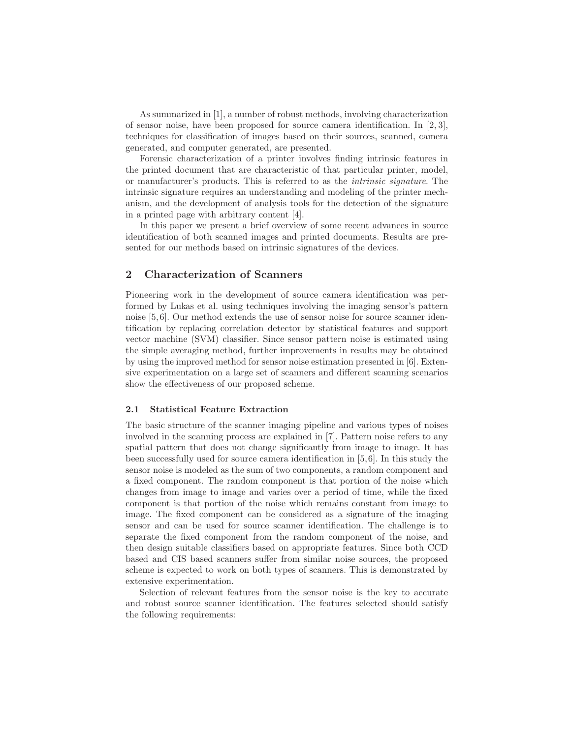As summarized in [1], a number of robust methods, involving characterization of sensor noise, have been proposed for source camera identification. In  $[2, 3]$ , techniques for classification of images based on their sources, scanned, camera generated, and computer generated, are presented.

Forensic characterization of a printer involves finding intrinsic features in the printed document that are characteristic of that particular printer, model, or manufacturer's products. This is referred to as the intrinsic signature. The intrinsic signature requires an understanding and modeling of the printer mechanism, and the development of analysis tools for the detection of the signature in a printed page with arbitrary content [4].

In this paper we present a brief overview of some recent advances in source identification of both scanned images and printed documents. Results are presented for our methods based on intrinsic signatures of the devices.

# 2 Characterization of Scanners

Pioneering work in the development of source camera identification was performed by Lukas et al. using techniques involving the imaging sensor's pattern noise [5, 6]. Our method extends the use of sensor noise for source scanner identification by replacing correlation detector by statistical features and support vector machine (SVM) classifier. Since sensor pattern noise is estimated using the simple averaging method, further improvements in results may be obtained by using the improved method for sensor noise estimation presented in [6]. Extensive experimentation on a large set of scanners and different scanning scenarios show the effectiveness of our proposed scheme.

#### 2.1 Statistical Feature Extraction

The basic structure of the scanner imaging pipeline and various types of noises involved in the scanning process are explained in [7]. Pattern noise refers to any spatial pattern that does not change significantly from image to image. It has been successfully used for source camera identification in [5,6]. In this study the sensor noise is modeled as the sum of two components, a random component and a fixed component. The random component is that portion of the noise which changes from image to image and varies over a period of time, while the fixed component is that portion of the noise which remains constant from image to image. The fixed component can be considered as a signature of the imaging sensor and can be used for source scanner identification. The challenge is to separate the fixed component from the random component of the noise, and then design suitable classifiers based on appropriate features. Since both CCD based and CIS based scanners suffer from similar noise sources, the proposed scheme is expected to work on both types of scanners. This is demonstrated by extensive experimentation.

Selection of relevant features from the sensor noise is the key to accurate and robust source scanner identification. The features selected should satisfy the following requirements: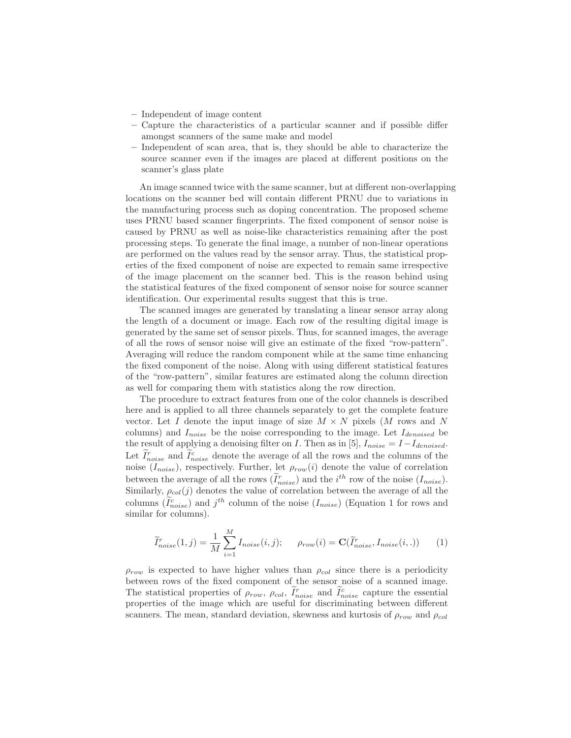- Independent of image content
- Capture the characteristics of a particular scanner and if possible differ amongst scanners of the same make and model
- Independent of scan area, that is, they should be able to characterize the source scanner even if the images are placed at different positions on the scanner's glass plate

An image scanned twice with the same scanner, but at different non-overlapping locations on the scanner bed will contain different PRNU due to variations in the manufacturing process such as doping concentration. The proposed scheme uses PRNU based scanner fingerprints. The fixed component of sensor noise is caused by PRNU as well as noise-like characteristics remaining after the post processing steps. To generate the final image, a number of non-linear operations are performed on the values read by the sensor array. Thus, the statistical properties of the fixed component of noise are expected to remain same irrespective of the image placement on the scanner bed. This is the reason behind using the statistical features of the fixed component of sensor noise for source scanner identification. Our experimental results suggest that this is true.

The scanned images are generated by translating a linear sensor array along the length of a document or image. Each row of the resulting digital image is generated by the same set of sensor pixels. Thus, for scanned images, the average of all the rows of sensor noise will give an estimate of the fixed "row-pattern". Averaging will reduce the random component while at the same time enhancing the fixed component of the noise. Along with using different statistical features of the "row-pattern", similar features are estimated along the column direction as well for comparing them with statistics along the row direction.

The procedure to extract features from one of the color channels is described here and is applied to all three channels separately to get the complete feature vector. Let I denote the input image of size  $M \times N$  pixels  $(M$  rows and N columns) and  $I_{noise}$  be the noise corresponding to the image. Let  $I_{denoised}$  be the result of applying a denoising filter on I. Then as in [5],  $I_{noise} = I - I_{denoised}$ . Let  $\tilde{I}_{noise}^r$  and  $\tilde{I}_{noise}^c$  denote the average of all the rows and the columns of the noise  $(I_{noise})$ , respectively. Further, let  $\rho_{row}(i)$  denote the value of correlation between the average of all the rows  $(\tilde{I}_{noise}^r)$  and the  $i^{th}$  row of the noise  $(I_{noise})$ . Similarly,  $\rho_{col}(j)$  denotes the value of correlation between the average of all the columns  $(\tilde{I}_{noise}^c)$  and  $j^{th}$  column of the noise  $(I_{noise})$  (Equation 1 for rows and similar for columns).

$$
\widetilde{I}_{noise}^r(1,j) = \frac{1}{M} \sum_{i=1}^{M} I_{noise}(i,j); \qquad \rho_{row}(i) = \mathbf{C}(\widetilde{I}_{noise}^r, I_{noise}(i,.)) \tag{1}
$$

 $\rho_{row}$  is expected to have higher values than  $\rho_{col}$  since there is a periodicity between rows of the fixed component of the sensor noise of a scanned image. The statistical properties of  $\rho_{row}$ ,  $\rho_{col}$ ,  $I_{noise}^r$  and  $I_{noise}^c$  capture the essential properties of the image which are useful for discriminating between different scanners. The mean, standard deviation, skewness and kurtosis of  $\rho_{row}$  and  $\rho_{col}$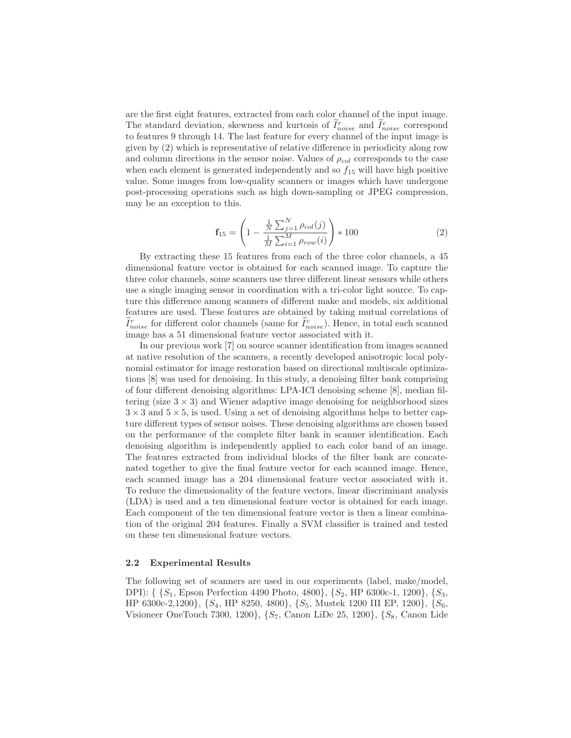are the first eight features, extracted from each color channel of the input image. The standard deviation, skewness and kurtosis of  $I_{noise}^r$  and  $I_{noise}^c$  correspond to features 9 through 14. The last feature for every channel of the input image is given by (2) which is representative of relative difference in periodicity along row and column directions in the sensor noise. Values of  $\rho_{col}$  corresponds to the case when each element is generated independently and so  $f_{15}$  will have high positive value. Some images from low-quality scanners or images which have undergone post-processing operations such as high down-sampling or JPEG compression, may be an exception to this.

$$
\mathbf{f}_{15} = \left(1 - \frac{\frac{1}{N} \sum_{j=1}^{N} \rho_{col}(j)}{\frac{1}{M} \sum_{i=1}^{M} \rho_{row}(i)}\right) * 100
$$
 (2)

By extracting these 15 features from each of the three color channels, a 45 dimensional feature vector is obtained for each scanned image. To capture the three color channels, some scanners use three different linear sensors while others use a single imaging sensor in coordination with a tri-color light source. To capture this difference among scanners of different make and models, six additional features are used. These features are obtained by taking mutual correlations of  $\tilde{I}_{noise}^r$  for different color channels (same for  $\tilde{I}_{noise}^c$ ). Hence, in total each scanned image has a 51 dimensional feature vector associated with it.

In our previous work [7] on source scanner identification from images scanned at native resolution of the scanners, a recently developed anisotropic local polynomial estimator for image restoration based on directional multiscale optimizations [8] was used for denoising. In this study, a denoising filter bank comprising of four different denoising algorithms: LPA-ICI denoising scheme [8], median filtering (size  $3 \times 3$ ) and Wiener adaptive image denoising for neighborhood sizes  $3 \times 3$  and  $5 \times 5$ , is used. Using a set of denoising algorithms helps to better capture different types of sensor noises. These denoising algorithms are chosen based on the performance of the complete filter bank in scanner identification. Each denoising algorithm is independently applied to each color band of an image. The features extracted from individual blocks of the filter bank are concatenated together to give the final feature vector for each scanned image. Hence, each scanned image has a 204 dimensional feature vector associated with it. To reduce the dimensionality of the feature vectors, linear discriminant analysis (LDA) is used and a ten dimensional feature vector is obtained for each image. Each component of the ten dimensional feature vector is then a linear combination of the original 204 features. Finally a SVM classifier is trained and tested on these ten dimensional feature vectors.

#### 2.2 Experimental Results

The following set of scanners are used in our experiments (label, make/model, DPI):  $\{S_1, \text{Epson Perfection 4490 Photo, 4800}\}, \{S_2, \text{HP 6300c-1}, 1200\}, \{S_3,$ HP 6300c-2,1200},  $\{S_4, \text{HP } 8250, 4800\}$ ,  $\{S_5, \text{Mustek } 1200 \text{ III } E\$ P, 1200\},  $\{S_6,$ Visioneer OneTouch 7300, 1200},  $\{S_7, \text{Canon}\$  LiDe 25, 1200},  $\{S_8, \text{Canon}\}$  Lide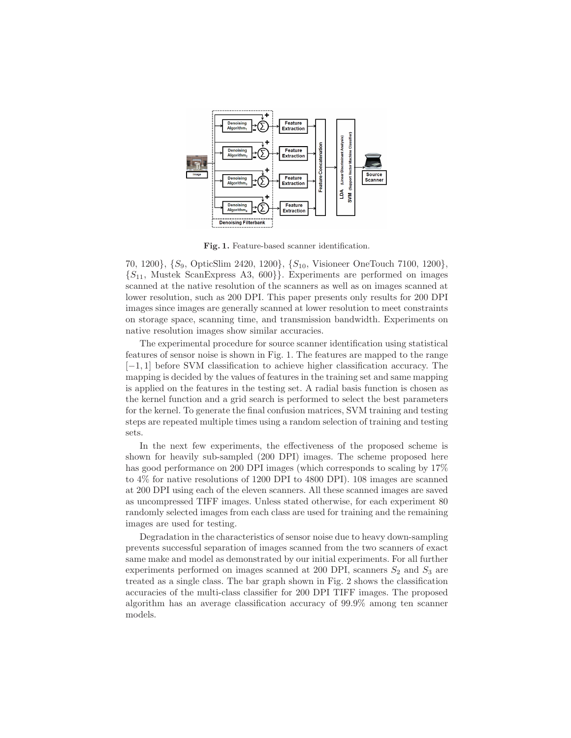

Fig. 1. Feature-based scanner identification.

70, 1200}, {S9, OpticSlim 2420, 1200}, {S10, Visioneer OneTouch 7100, 1200},  ${S_{11}}$ , Mustek ScanExpress A3, 600}. Experiments are performed on images scanned at the native resolution of the scanners as well as on images scanned at lower resolution, such as 200 DPI. This paper presents only results for 200 DPI images since images are generally scanned at lower resolution to meet constraints on storage space, scanning time, and transmission bandwidth. Experiments on native resolution images show similar accuracies.

The experimental procedure for source scanner identification using statistical features of sensor noise is shown in Fig. 1. The features are mapped to the range [−1, 1] before SVM classification to achieve higher classification accuracy. The mapping is decided by the values of features in the training set and same mapping is applied on the features in the testing set. A radial basis function is chosen as the kernel function and a grid search is performed to select the best parameters for the kernel. To generate the final confusion matrices, SVM training and testing steps are repeated multiple times using a random selection of training and testing sets.

In the next few experiments, the effectiveness of the proposed scheme is shown for heavily sub-sampled (200 DPI) images. The scheme proposed here has good performance on 200 DPI images (which corresponds to scaling by 17% to 4% for native resolutions of 1200 DPI to 4800 DPI). 108 images are scanned at 200 DPI using each of the eleven scanners. All these scanned images are saved as uncompressed TIFF images. Unless stated otherwise, for each experiment 80 randomly selected images from each class are used for training and the remaining images are used for testing.

Degradation in the characteristics of sensor noise due to heavy down-sampling prevents successful separation of images scanned from the two scanners of exact same make and model as demonstrated by our initial experiments. For all further experiments performed on images scanned at 200 DPI, scanners  $S_2$  and  $S_3$  are treated as a single class. The bar graph shown in Fig. 2 shows the classification accuracies of the multi-class classifier for 200 DPI TIFF images. The proposed algorithm has an average classification accuracy of 99.9% among ten scanner models.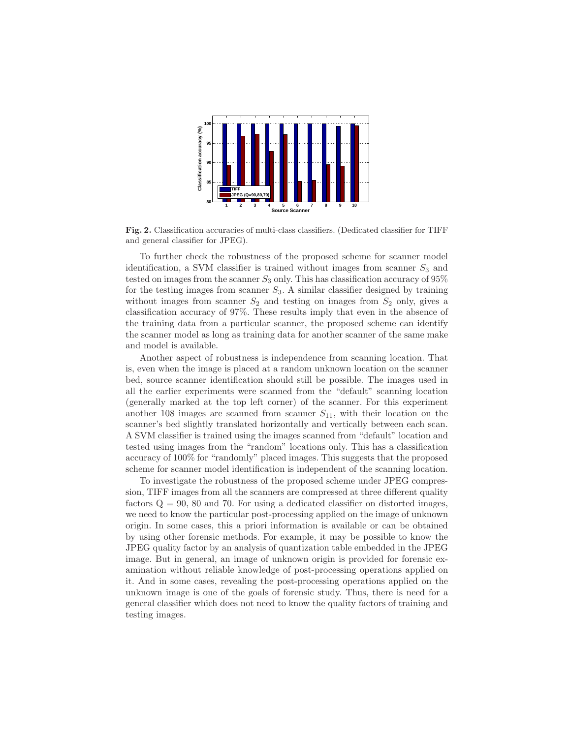

Fig. 2. Classification accuracies of multi-class classifiers. (Dedicated classifier for TIFF and general classifier for JPEG).

To further check the robustness of the proposed scheme for scanner model identification, a SVM classifier is trained without images from scanner  $S_3$  and tested on images from the scanner  $S_3$  only. This has classification accuracy of 95% for the testing images from scanner  $S_3$ . A similar classifier designed by training without images from scanner  $S_2$  and testing on images from  $S_2$  only, gives a classification accuracy of 97%. These results imply that even in the absence of the training data from a particular scanner, the proposed scheme can identify the scanner model as long as training data for another scanner of the same make and model is available.

Another aspect of robustness is independence from scanning location. That is, even when the image is placed at a random unknown location on the scanner bed, source scanner identification should still be possible. The images used in all the earlier experiments were scanned from the "default" scanning location (generally marked at the top left corner) of the scanner. For this experiment another 108 images are scanned from scanner  $S_{11}$ , with their location on the scanner's bed slightly translated horizontally and vertically between each scan. A SVM classifier is trained using the images scanned from "default" location and tested using images from the "random" locations only. This has a classification accuracy of 100% for "randomly" placed images. This suggests that the proposed scheme for scanner model identification is independent of the scanning location.

To investigate the robustness of the proposed scheme under JPEG compression, TIFF images from all the scanners are compressed at three different quality factors  $Q = 90$ , 80 and 70. For using a dedicated classifier on distorted images, we need to know the particular post-processing applied on the image of unknown origin. In some cases, this a priori information is available or can be obtained by using other forensic methods. For example, it may be possible to know the JPEG quality factor by an analysis of quantization table embedded in the JPEG image. But in general, an image of unknown origin is provided for forensic examination without reliable knowledge of post-processing operations applied on it. And in some cases, revealing the post-processing operations applied on the unknown image is one of the goals of forensic study. Thus, there is need for a general classifier which does not need to know the quality factors of training and testing images.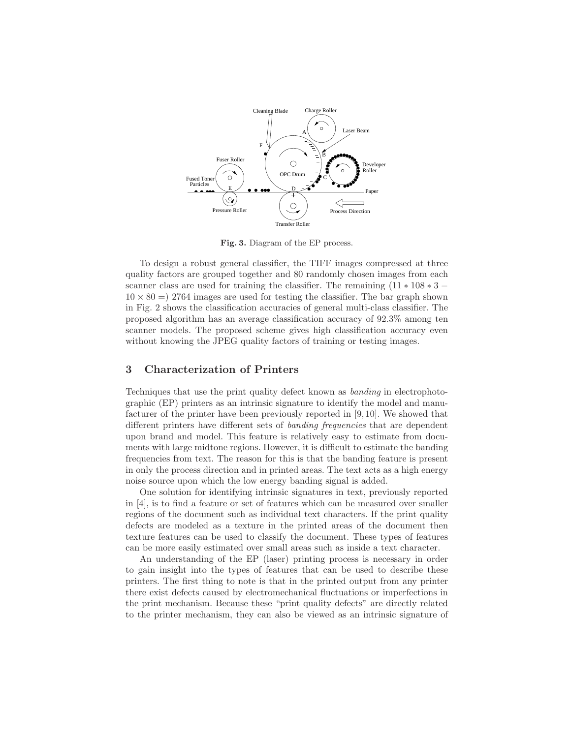

Fig. 3. Diagram of the EP process.

To design a robust general classifier, the TIFF images compressed at three quality factors are grouped together and 80 randomly chosen images from each scanner class are used for training the classifier. The remaining  $(11 * 108 * 3 10 \times 80 = 2764$  images are used for testing the classifier. The bar graph shown in Fig. 2 shows the classification accuracies of general multi-class classifier. The proposed algorithm has an average classification accuracy of 92.3% among ten scanner models. The proposed scheme gives high classification accuracy even without knowing the JPEG quality factors of training or testing images.

## 3 Characterization of Printers

Techniques that use the print quality defect known as banding in electrophotographic (EP) printers as an intrinsic signature to identify the model and manufacturer of the printer have been previously reported in [9, 10]. We showed that different printers have different sets of banding frequencies that are dependent upon brand and model. This feature is relatively easy to estimate from documents with large midtone regions. However, it is difficult to estimate the banding frequencies from text. The reason for this is that the banding feature is present in only the process direction and in printed areas. The text acts as a high energy noise source upon which the low energy banding signal is added.

One solution for identifying intrinsic signatures in text, previously reported in [4], is to find a feature or set of features which can be measured over smaller regions of the document such as individual text characters. If the print quality defects are modeled as a texture in the printed areas of the document then texture features can be used to classify the document. These types of features can be more easily estimated over small areas such as inside a text character.

An understanding of the EP (laser) printing process is necessary in order to gain insight into the types of features that can be used to describe these printers. The first thing to note is that in the printed output from any printer there exist defects caused by electromechanical fluctuations or imperfections in the print mechanism. Because these "print quality defects" are directly related to the printer mechanism, they can also be viewed as an intrinsic signature of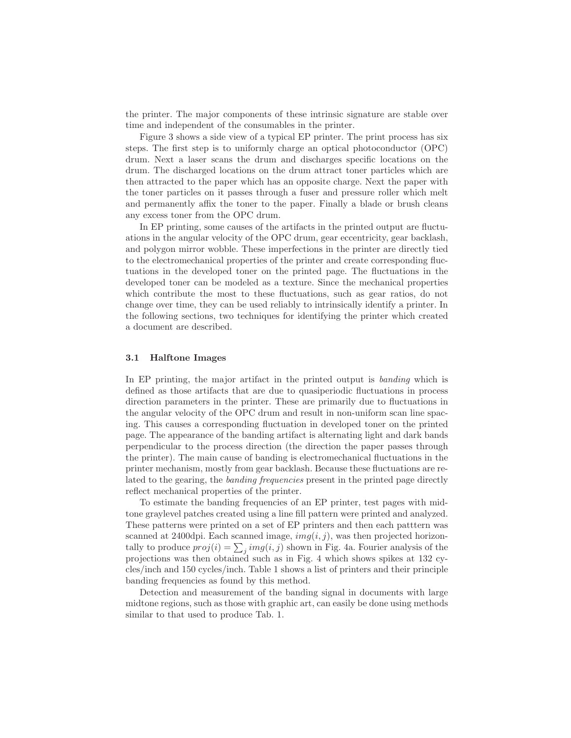the printer. The major components of these intrinsic signature are stable over time and independent of the consumables in the printer.

Figure 3 shows a side view of a typical EP printer. The print process has six steps. The first step is to uniformly charge an optical photoconductor (OPC) drum. Next a laser scans the drum and discharges specific locations on the drum. The discharged locations on the drum attract toner particles which are then attracted to the paper which has an opposite charge. Next the paper with the toner particles on it passes through a fuser and pressure roller which melt and permanently affix the toner to the paper. Finally a blade or brush cleans any excess toner from the OPC drum.

In EP printing, some causes of the artifacts in the printed output are fluctuations in the angular velocity of the OPC drum, gear eccentricity, gear backlash, and polygon mirror wobble. These imperfections in the printer are directly tied to the electromechanical properties of the printer and create corresponding fluctuations in the developed toner on the printed page. The fluctuations in the developed toner can be modeled as a texture. Since the mechanical properties which contribute the most to these fluctuations, such as gear ratios, do not change over time, they can be used reliably to intrinsically identify a printer. In the following sections, two techniques for identifying the printer which created a document are described.

#### 3.1 Halftone Images

In EP printing, the major artifact in the printed output is banding which is defined as those artifacts that are due to quasiperiodic fluctuations in process direction parameters in the printer. These are primarily due to fluctuations in the angular velocity of the OPC drum and result in non-uniform scan line spacing. This causes a corresponding fluctuation in developed toner on the printed page. The appearance of the banding artifact is alternating light and dark bands perpendicular to the process direction (the direction the paper passes through the printer). The main cause of banding is electromechanical fluctuations in the printer mechanism, mostly from gear backlash. Because these fluctuations are related to the gearing, the banding frequencies present in the printed page directly reflect mechanical properties of the printer.

To estimate the banding frequencies of an EP printer, test pages with midtone graylevel patches created using a line fill pattern were printed and analyzed. These patterns were printed on a set of EP printers and then each patttern was scanned at 2400dpi. Each scanned image,  $img(i, j)$ , was then projected horizontally to produce  $proj(i) = \sum_j img(i, j)$  shown in Fig. 4a. Fourier analysis of the projections was then obtained such as in Fig. 4 which shows spikes at 132 cycles/inch and 150 cycles/inch. Table 1 shows a list of printers and their principle banding frequencies as found by this method.

Detection and measurement of the banding signal in documents with large midtone regions, such as those with graphic art, can easily be done using methods similar to that used to produce Tab. 1.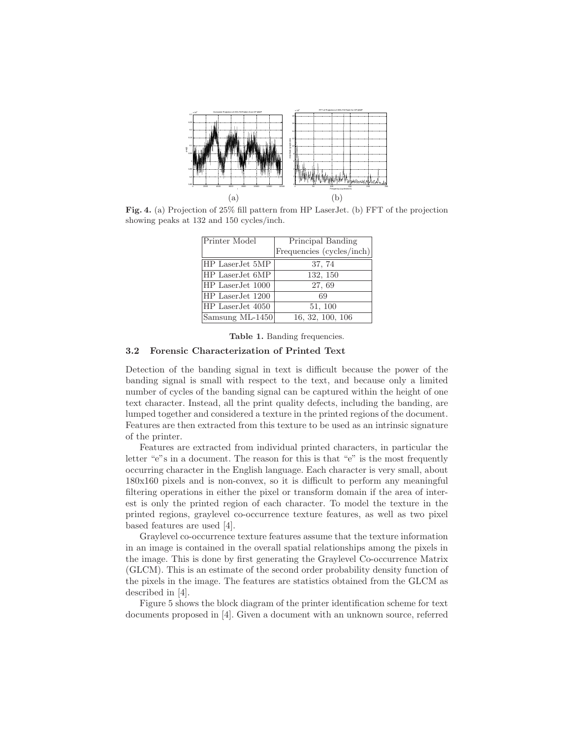

Fig. 4. (a) Projection of 25% fill pattern from HP LaserJet. (b) FFT of the projection showing peaks at 132 and 150 cycles/inch.

| Printer Model            | Principal Banding         |  |  |  |  |  |
|--------------------------|---------------------------|--|--|--|--|--|
|                          | Frequencies (cycles/inch) |  |  |  |  |  |
| HP LaserJet 5MP          | 37, 74                    |  |  |  |  |  |
| HP LaserJet 6MP          | 132, 150                  |  |  |  |  |  |
| HP LaserJet 1000         | 27,69                     |  |  |  |  |  |
| HP LaserJet 1200         | 69                        |  |  |  |  |  |
| HP LaserJet 4050         | 51, 100                   |  |  |  |  |  |
| $\text{Samsung ML-1450}$ | 16, 32, 100, 106          |  |  |  |  |  |

Table 1. Banding frequencies.

#### 3.2 Forensic Characterization of Printed Text

Detection of the banding signal in text is difficult because the power of the banding signal is small with respect to the text, and because only a limited number of cycles of the banding signal can be captured within the height of one text character. Instead, all the print quality defects, including the banding, are lumped together and considered a texture in the printed regions of the document. Features are then extracted from this texture to be used as an intrinsic signature of the printer.

Features are extracted from individual printed characters, in particular the letter "e"s in a document. The reason for this is that "e" is the most frequently occurring character in the English language. Each character is very small, about 180x160 pixels and is non-convex, so it is difficult to perform any meaningful filtering operations in either the pixel or transform domain if the area of interest is only the printed region of each character. To model the texture in the printed regions, graylevel co-occurrence texture features, as well as two pixel based features are used [4].

Graylevel co-occurrence texture features assume that the texture information in an image is contained in the overall spatial relationships among the pixels in the image. This is done by first generating the Graylevel Co-occurrence Matrix (GLCM). This is an estimate of the second order probability density function of the pixels in the image. The features are statistics obtained from the GLCM as described in [4].

Figure 5 shows the block diagram of the printer identification scheme for text documents proposed in [4]. Given a document with an unknown source, referred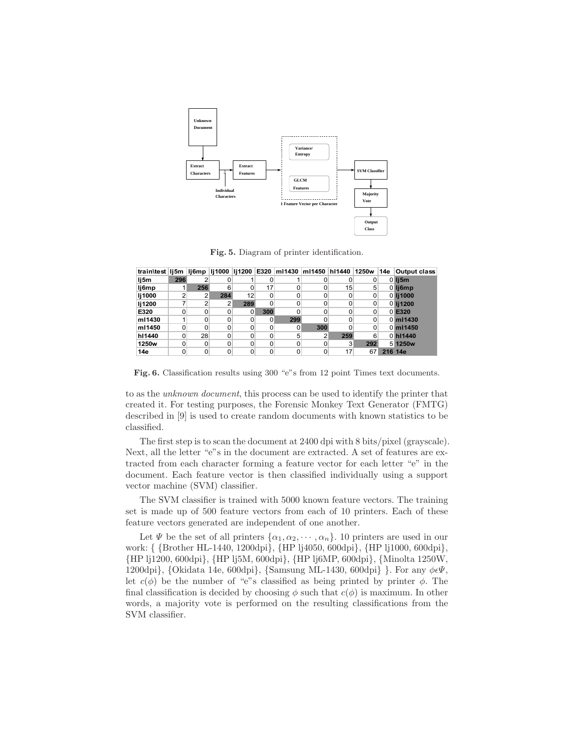

Fig. 5. Diagram of printer identification.

| train\test | $l$ i5m        |                |                |          |          |              | lj6mp  lj1000  lj1200  E320  ml1430  ml1450  hl1440  1250w |                 |     | 14e | Output class |
|------------|----------------|----------------|----------------|----------|----------|--------------|------------------------------------------------------------|-----------------|-----|-----|--------------|
| lj5m       | 296            |                | 0              |          | 0        |              | 0                                                          | 0               | 0   |     | $0$ lj5m     |
| lj6mp      |                | 256            | 6              | 0        | 17       | 0            | 0                                                          | 15 <sub>1</sub> | 5   |     | $0$ lj6mp    |
| lj1000     | $\overline{2}$ | $\overline{2}$ | 284            | 12       | $\Omega$ | $\mathbf{0}$ | 0                                                          | 0               | 0   |     | $0$ lj1000   |
| lj1200     |                | 2              | $\overline{2}$ | 289      | $\Omega$ | $\Omega$     | 0                                                          | 0               | 0   |     | 0 li1200     |
| E320       | 0              | 0              | 0              | $\Omega$ | 300      | 0            | 0                                                          | 0               | 0   |     | 0 E320       |
| m11430     |                | 0              | $\Omega$       | 0        | 0        | 299          | 0                                                          |                 | 0   |     | 0 ml1430     |
| m11450     | 0              | $\Omega$       | $\Omega$       | $\Omega$ | $\Omega$ | $\mathbf 0$  | 300                                                        |                 | 0   |     | $0$ ml 1450  |
| hl1440     | 0              | 28             | 0              | $\Omega$ | $\Omega$ | 5            | 2                                                          | 259             | 6   |     | 0 hl1440     |
| 1250w      | 0              | 0              | 0              | 0        | $\Omega$ | 0            | 0                                                          | 3               | 292 |     | 5 1250w      |
| 14e        | 0              | 0              | 0              | 0        | $\Omega$ | $\mathbf{0}$ | 0                                                          | 17              | 67  |     | 216 14e      |

Fig. 6. Classification results using 300 "e"s from 12 point Times text documents.

to as the unknown document, this process can be used to identify the printer that created it. For testing purposes, the Forensic Monkey Text Generator (FMTG) described in [9] is used to create random documents with known statistics to be classified.

The first step is to scan the document at 2400 dpi with 8 bits/pixel (grayscale). Next, all the letter "e"s in the document are extracted. A set of features are extracted from each character forming a feature vector for each letter "e" in the document. Each feature vector is then classified individually using a support vector machine (SVM) classifier.

The SVM classifier is trained with 5000 known feature vectors. The training set is made up of 500 feature vectors from each of 10 printers. Each of these feature vectors generated are independent of one another.

Let  $\Psi$  be the set of all printers  $\{\alpha_1, \alpha_2, \cdots, \alpha_n\}$ . 10 printers are used in our work: { {Brother HL-1440, 1200dpi}, {HP lj4050, 600dpi}, {HP lj1000, 600dpi}, {HP lj1200, 600dpi}, {HP lj5M, 600dpi}, {HP lj6MP, 600dpi}, {Minolta 1250W, 1200dpi}, {Okidata 14e, 600dpi}, {Samsung ML-1430, 600dpi} }. For any  $\phi \epsilon \Psi$ , let  $c(\phi)$  be the number of "e"s classified as being printed by printer  $\phi$ . The final classification is decided by choosing  $\phi$  such that  $c(\phi)$  is maximum. In other words, a majority vote is performed on the resulting classifications from the SVM classifier.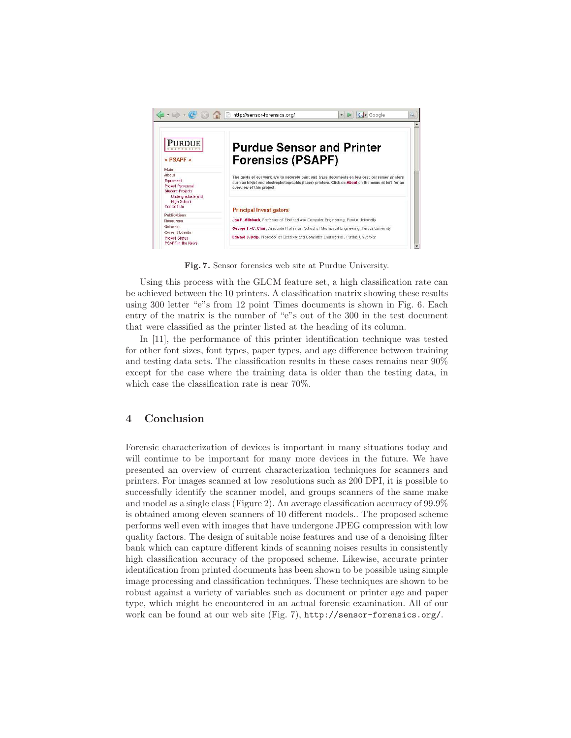

Fig. 7. Sensor forensics web site at Purdue University.

Using this process with the GLCM feature set, a high classification rate can be achieved between the 10 printers. A classification matrix showing these results using 300 letter "e"s from 12 point Times documents is shown in Fig. 6. Each entry of the matrix is the number of "e"s out of the 300 in the test document that were classified as the printer listed at the heading of its column.

In [11], the performance of this printer identification technique was tested for other font sizes, font types, paper types, and age difference between training and testing data sets. The classification results in these cases remains near 90% except for the case where the training data is older than the testing data, in which case the classification rate is near 70%.

# 4 Conclusion

Forensic characterization of devices is important in many situations today and will continue to be important for many more devices in the future. We have presented an overview of current characterization techniques for scanners and printers. For images scanned at low resolutions such as 200 DPI, it is possible to successfully identify the scanner model, and groups scanners of the same make and model as a single class (Figure 2). An average classification accuracy of 99.9% is obtained among eleven scanners of 10 different models.. The proposed scheme performs well even with images that have undergone JPEG compression with low quality factors. The design of suitable noise features and use of a denoising filter bank which can capture different kinds of scanning noises results in consistently high classification accuracy of the proposed scheme. Likewise, accurate printer identification from printed documents has been shown to be possible using simple image processing and classification techniques. These techniques are shown to be robust against a variety of variables such as document or printer age and paper type, which might be encountered in an actual forensic examination. All of our work can be found at our web site (Fig. 7), http://sensor-forensics.org/.